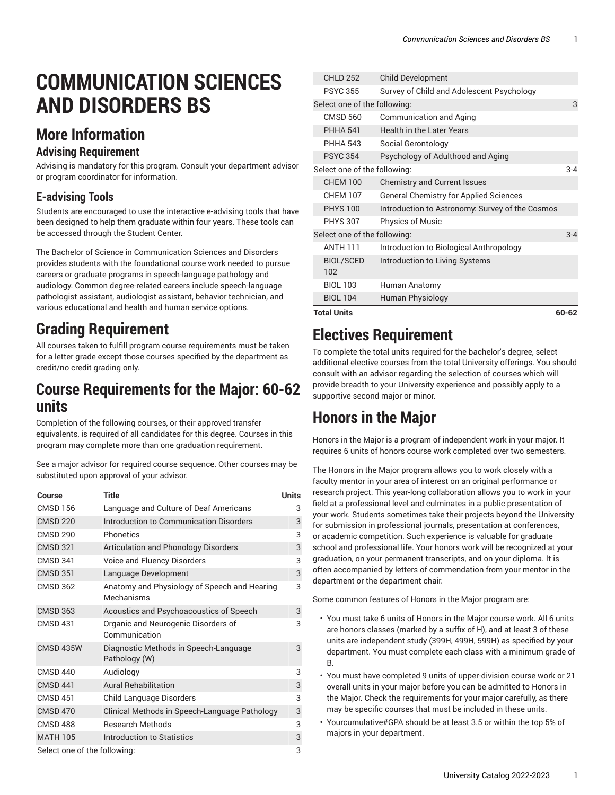# **COMMUNICATION SCIENCES AND DISORDERS BS**

### **More Information**

#### **Advising Requirement**

Advising is mandatory for this program. Consult your department advisor or program coordinator for information.

#### **E-advising Tools**

Students are encouraged to use the interactive e-advising tools that have been designed to help them graduate within four years. These tools can be accessed through the Student Center.

The Bachelor of Science in Communication Sciences and Disorders provides students with the foundational course work needed to pursue careers or graduate programs in speech-language pathology and audiology. Common degree-related careers include speech-language pathologist assistant, audiologist assistant, behavior technician, and various educational and health and human service options.

#### **Grading Requirement**

All courses taken to fulfill program course requirements must be taken for a letter grade except those courses specified by the department as credit/no credit grading only.

#### **Course Requirements for the Major: 60-62 units**

Completion of the following courses, or their approved transfer equivalents, is required of all candidates for this degree. Courses in this program may complete more than one graduation requirement.

See a major advisor for required course sequence. Other courses may be substituted upon approval of your advisor.

| Course                       | Title                                                      | <b>Units</b> |
|------------------------------|------------------------------------------------------------|--------------|
| <b>CMSD 156</b>              | Language and Culture of Deaf Americans                     | 3            |
| <b>CMSD 220</b>              | Introduction to Communication Disorders                    | 3            |
| <b>CMSD 290</b>              | Phonetics                                                  | 3            |
| <b>CMSD 321</b>              | <b>Articulation and Phonology Disorders</b>                | 3            |
| CMSD 341                     | Voice and Fluency Disorders                                | 3            |
| <b>CMSD 351</b>              | Language Development                                       | 3            |
| <b>CMSD 362</b>              | Anatomy and Physiology of Speech and Hearing<br>Mechanisms | 3            |
| <b>CMSD 363</b>              | Acoustics and Psychoacoustics of Speech                    | 3            |
| <b>CMSD 431</b>              | Organic and Neurogenic Disorders of<br>Communication       | 3            |
| <b>CMSD 435W</b>             | Diagnostic Methods in Speech-Language<br>Pathology (W)     | 3            |
| <b>CMSD 440</b>              | Audiology                                                  | 3            |
| <b>CMSD 441</b>              | <b>Aural Rehabilitation</b>                                | 3            |
| <b>CMSD 451</b>              | Child Language Disorders                                   | 3            |
| <b>CMSD 470</b>              | Clinical Methods in Speech-Language Pathology              | 3            |
| <b>CMSD 488</b>              | <b>Research Methods</b>                                    | 3            |
| <b>MATH 105</b>              | Introduction to Statistics                                 | 3            |
| Select one of the following: |                                                            |              |

|  | <b>Total Units</b><br>60-62  |                                                 |         |  |
|--|------------------------------|-------------------------------------------------|---------|--|
|  | <b>BIOL 104</b>              | <b>Human Physiology</b>                         |         |  |
|  | <b>BIOL 103</b>              | Human Anatomy                                   |         |  |
|  | <b>BIOL/SCED</b><br>102      | Introduction to Living Systems                  |         |  |
|  |                              | Introduction to Biological Anthropology         |         |  |
|  | <b>ANTH 111</b>              |                                                 |         |  |
|  | Select one of the following: |                                                 | $3 - 4$ |  |
|  | <b>PHYS 307</b>              | <b>Physics of Music</b>                         |         |  |
|  | <b>PHYS 100</b>              | Introduction to Astronomy: Survey of the Cosmos |         |  |
|  | <b>CHEM 107</b>              | <b>General Chemistry for Applied Sciences</b>   |         |  |
|  | <b>CHEM 100</b>              | <b>Chemistry and Current Issues</b>             |         |  |
|  | Select one of the following: |                                                 | $3 - 4$ |  |
|  | <b>PSYC 354</b>              | Psychology of Adulthood and Aging               |         |  |
|  | <b>PHHA 543</b>              | Social Gerontology                              |         |  |
|  | <b>PHHA 541</b>              | <b>Health in the Later Years</b>                |         |  |
|  | <b>CMSD 560</b>              | Communication and Aging                         |         |  |
|  | Select one of the following: |                                                 | 3       |  |
|  | <b>PSYC 355</b>              | Survey of Child and Adolescent Psychology       |         |  |
|  | <b>CHLD 252</b>              | <b>Child Development</b>                        |         |  |

#### **Electives Requirement**

To complete the total units required for the bachelor's degree, select additional elective courses from the total University offerings. You should consult with an advisor regarding the selection of courses which will provide breadth to your University experience and possibly apply to a supportive second major or minor.

### **Honors in the Major**

Honors in the Major is a program of independent work in your major. It requires 6 units of honors course work completed over two semesters.

The Honors in the Major program allows you to work closely with a faculty mentor in your area of interest on an original performance or research project. This year-long collaboration allows you to work in your field at a professional level and culminates in a public presentation of your work. Students sometimes take their projects beyond the University for submission in professional journals, presentation at conferences, or academic competition. Such experience is valuable for graduate school and professional life. Your honors work will be recognized at your graduation, on your permanent transcripts, and on your diploma. It is often accompanied by letters of commendation from your mentor in the department or the department chair.

Some common features of Honors in the Major program are:

- You must take 6 units of Honors in the Major course work. All 6 units are honors classes (marked by a suffix of H), and at least 3 of these units are independent study (399H, 499H, 599H) as specified by your department. You must complete each class with a minimum grade of B.
- You must have completed 9 units of upper-division course work or 21 overall units in your major before you can be admitted to Honors in the Major. Check the requirements for your major carefully, as there may be specific courses that must be included in these units.
- Yourcumulative#GPA should be at least 3.5 or within the top 5% of majors in your department.